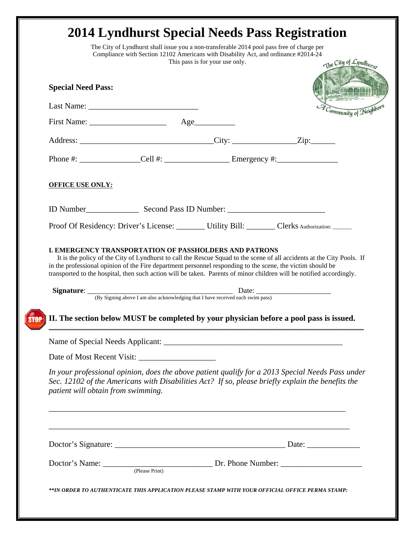|                                    | This pass is for your use only.                                                                                                                                                                                                                                                                                                                                                                                               | The City of Lyndhure   |
|------------------------------------|-------------------------------------------------------------------------------------------------------------------------------------------------------------------------------------------------------------------------------------------------------------------------------------------------------------------------------------------------------------------------------------------------------------------------------|------------------------|
| <b>Special Need Pass:</b>          |                                                                                                                                                                                                                                                                                                                                                                                                                               |                        |
|                                    |                                                                                                                                                                                                                                                                                                                                                                                                                               | -ommunity of Neighbors |
|                                    |                                                                                                                                                                                                                                                                                                                                                                                                                               |                        |
|                                    |                                                                                                                                                                                                                                                                                                                                                                                                                               |                        |
|                                    |                                                                                                                                                                                                                                                                                                                                                                                                                               |                        |
| <b>OFFICE USE ONLY:</b>            |                                                                                                                                                                                                                                                                                                                                                                                                                               |                        |
|                                    |                                                                                                                                                                                                                                                                                                                                                                                                                               |                        |
|                                    | Proof Of Residency: Driver's License: Utility Bill: Clerks Authorization: _____                                                                                                                                                                                                                                                                                                                                               |                        |
|                                    | <b>I. EMERGENCY TRANSPORTATION OF PASSHOLDERS AND PATRONS</b><br>It is the policy of the City of Lyndhurst to call the Rescue Squad to the scene of all accidents at the City Pools. If<br>in the professional opinion of the Fire department personnel responding to the scene, the victim should be<br>transported to the hospital, then such action will be taken. Parents of minor children will be notified accordingly. |                        |
|                                    | II. The section below MUST be completed by your physician before a pool pass is issued.                                                                                                                                                                                                                                                                                                                                       |                        |
|                                    |                                                                                                                                                                                                                                                                                                                                                                                                                               |                        |
|                                    |                                                                                                                                                                                                                                                                                                                                                                                                                               |                        |
| patient will obtain from swimming. | In your professional opinion, does the above patient qualify for a 2013 Special Needs Pass under<br>Sec. 12102 of the Americans with Disabilities Act? If so, please briefly explain the benefits the                                                                                                                                                                                                                         |                        |
|                                    |                                                                                                                                                                                                                                                                                                                                                                                                                               |                        |